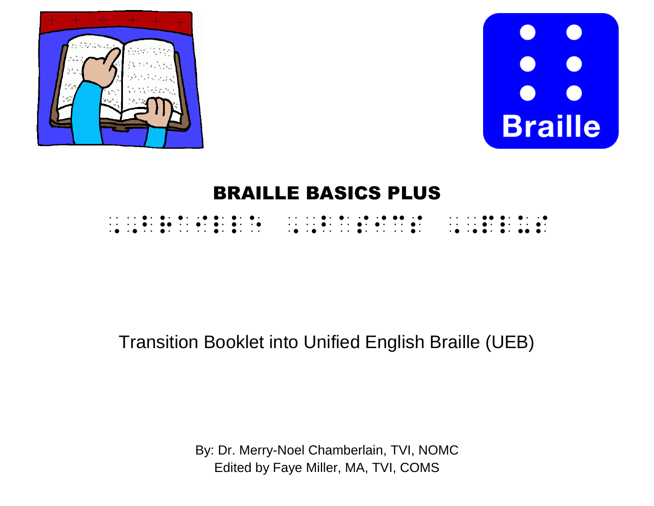



# BRAILLE BASICS PLUS

# Transition Booklet into Unified English Braille (UEB)

By: Dr. Merry-Noel Chamberlain, TVI, NOMC Edited by Faye Miller, MA, TVI, COMS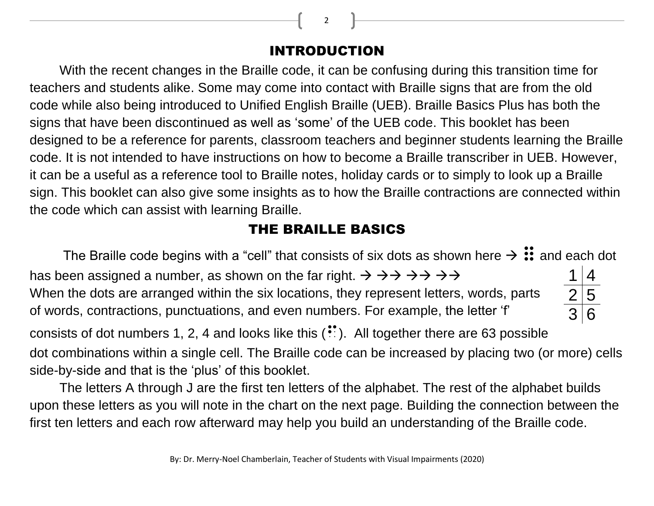INTRODUCTION

With the recent changes in the Braille code, it can be confusing during this transition time for teachers and students alike. Some may come into contact with Braille signs that are from the old code while also being introduced to Unified English Braille (UEB). Braille Basics Plus has both the signs that have been discontinued as well as 'some' of the UEB code. This booklet has been designed to be a reference for parents, classroom teachers and beginner students learning the Braille code. It is not intended to have instructions on how to become a Braille transcriber in UEB. However, it can be a useful as a reference tool to Braille notes, holiday cards or to simply to look up a Braille sign. This booklet can also give some insights as to how the Braille contractions are connected within the code which can assist with learning Braille.

### THE BRAILLE BASICS

The Braille code begins with a "cell" that consists of six dots as shown here  $\rightarrow \mathrel{\mathop:}$  and each dot has been assigned a number, as shown on the far right.  $\rightarrow \rightarrow \rightarrow \rightarrow \rightarrow \rightarrow \rightarrow$ When the dots are arranged within the six locations, they represent letters, words, parts of words, contractions, punctuations, and even numbers. For example, the letter 'f' consists of dot numbers 1, 2, 4 and looks like this  $\binom{1}{2}$ . All together there are 63 possible dot combinations within a single cell. The Braille code can be increased by placing two (or more) cells side-by-side and that is the 'plus' of this booklet.  $1 | 4$  $2|5$  $3|6$ 

The letters A through J are the first ten letters of the alphabet. The rest of the alphabet builds upon these letters as you will note in the chart on the next page. Building the connection between the first ten letters and each row afterward may help you build an understanding of the Braille code.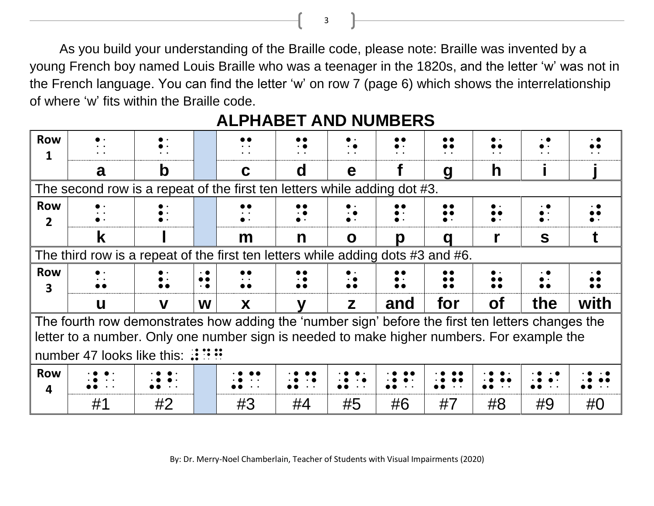As you build your understanding of the Braille code, please note: Braille was invented by a young French boy named Louis Braille who was a teenager in the 1820s, and the letter 'w' was not in the French language. You can find the letter 'w' on row 7 (page 6) which shows the interrelationship of where 'w' fits within the Braille code.

| <b>Row</b>      |                                                                                                   |    |                                            | $\cdot$ $\cdot$                                        |           |                     |                     |                        |           |     |      |
|-----------------|---------------------------------------------------------------------------------------------------|----|--------------------------------------------|--------------------------------------------------------|-----------|---------------------|---------------------|------------------------|-----------|-----|------|
|                 |                                                                                                   |    |                                            |                                                        |           |                     |                     |                        |           |     |      |
|                 | a                                                                                                 | b  |                                            | C                                                      | d         | e                   |                     | q                      | h         |     |      |
|                 | The second row is a repeat of the first ten letters while adding dot #3.                          |    |                                            |                                                        |           |                     |                     |                        |           |     |      |
| <b>Row</b>      |                                                                                                   |    |                                            |                                                        |           |                     |                     |                        |           |     |      |
| $\overline{2}$  |                                                                                                   |    |                                            |                                                        |           |                     |                     |                        |           |     |      |
|                 | k                                                                                                 |    |                                            | m                                                      | n         | O                   | Ŋ                   | a                      |           | S   |      |
|                 | The third row is a repeat of the first ten letters while adding dots $#3$ and $#6$ .              |    |                                            |                                                        |           |                     |                     |                        |           |     |      |
| <b>Row</b><br>3 |                                                                                                   |    | $\cdot$ .<br>$\bullet\bullet$<br>$\cdot$ . | $\bullet\bullet$<br>$\bullet$ . $\bullet$<br>$\bullet$ | $\bullet$ |                     |                     | $\bullet$<br>$\bullet$ |           |     |      |
|                 | $\mathbf u$                                                                                       | V  | W                                          | X                                                      |           | Z                   | and                 | for                    | <b>of</b> | the | with |
|                 | The fourth row demonstrates how adding the 'number sign' before the first ten letters changes the |    |                                            |                                                        |           |                     |                     |                        |           |     |      |
|                 | letter to a number. Only one number sign is needed to make higher numbers. For example the        |    |                                            |                                                        |           |                     |                     |                        |           |     |      |
|                 | number 47 looks like this: $\mathbb{R} \mathbb{R}$                                                |    |                                            |                                                        |           |                     |                     |                        |           |     |      |
| <b>Row</b>      |                                                                                                   |    |                                            |                                                        |           |                     |                     |                        |           |     |      |
| 4               |                                                                                                   |    |                                            |                                                        |           | $\bullet$ $\bullet$ | $\bullet$ $\bullet$ | $\bullet\quad\bullet$  |           |     |      |
|                 | #1                                                                                                | #2 |                                            | #3                                                     | #4        | #5                  | #6                  | #7                     | #8        | #9  | #O   |

### **ALPHABET AND NUMBERS**

By: Dr. Merry-Noel Chamberlain, Teacher of Students with Visual Impairments (2020)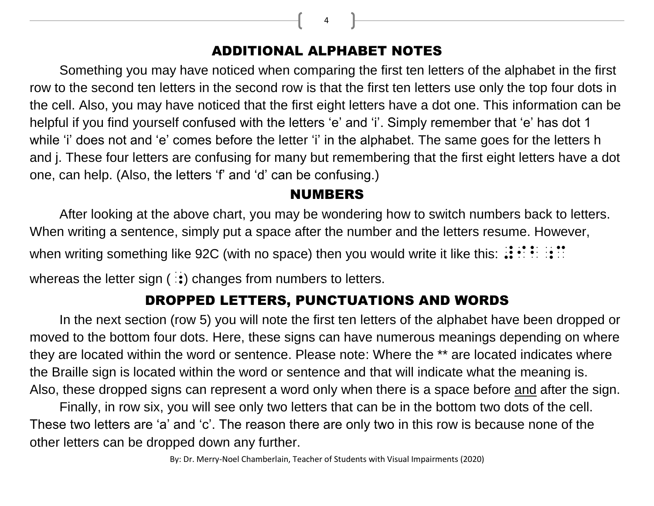### ADDITIONAL ALPHABET NOTES

Something you may have noticed when comparing the first ten letters of the alphabet in the first row to the second ten letters in the second row is that the first ten letters use only the top four dots in the cell. Also, you may have noticed that the first eight letters have a dot one. This information can be helpful if you find yourself confused with the letters 'e' and 'i'. Simply remember that 'e' has dot 1 while 'i' does not and 'e' comes before the letter 'i' in the alphabet. The same goes for the letters h and j. These four letters are confusing for many but remembering that the first eight letters have a dot one, can help. (Also, the letters 'f' and 'd' can be confusing.)

#### NUMBERS

After looking at the above chart, you may be wondering how to switch numbers back to letters. When writing a sentence, simply put a space after the number and the letters resume. However, when writing something like 92C (with no space) then you would write it like this:  $\mathbf{H} \cdot \mathbf{H}$ whereas the letter sign  $(:,:)$  changes from numbers to letters.

### DROPPED LETTERS, PUNCTUATIONS AND WORDS

In the next section (row 5) you will note the first ten letters of the alphabet have been dropped or moved to the bottom four dots. Here, these signs can have numerous meanings depending on where they are located within the word or sentence. Please note: Where the \*\* are located indicates where the Braille sign is located within the word or sentence and that will indicate what the meaning is. Also, these dropped signs can represent a word only when there is a space before and after the sign.

Finally, in row six, you will see only two letters that can be in the bottom two dots of the cell. These two letters are 'a' and 'c'. The reason there are only two in this row is because none of the other letters can be dropped down any further.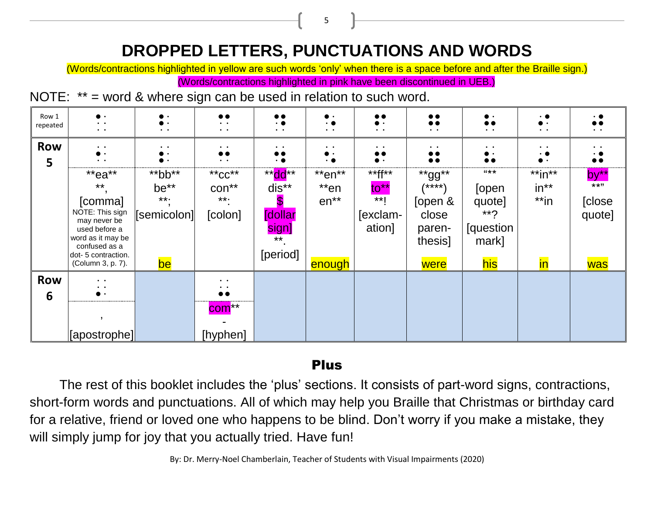## **DROPPED LETTERS, PUNCTUATIONS AND WORDS**

5

(Words/contractions highlighted in yellow are such words 'only' when there is a space before and after the Braille sign.)

(Words/contractions highlighted in pink have been discontinued in UEB.)

NOTE: \*\* = word & where sign can be used in relation to such word.

| Row 1<br>repeated | $\bullet$ .<br>$\bullet$ . $\bullet$<br>$\bullet$ . $\bullet$ .                                   | $\bullet$ . $\bullet$ | $\bullet$<br>$\ddot{\phantom{a}}$<br>$\bullet$ . $\bullet$                 | $\bullet\bullet$<br>$\cdot$ $\bullet$<br>$\bullet$ $\qquad$ $\bullet$ | $\cdot$ .<br>$\bullet$ $\phantom{0}$ $\bullet$ | $\bullet\bullet$<br>$\bullet$ .<br>$\bullet\qquad\bullet\qquad$ | $\bullet\bullet$<br>$\bullet$<br>$\bullet$ $\quad$ $\bullet$ | $\bullet$ $\quad$ $\bullet$           | $\cdot$ $\bullet$<br>$\bullet$ .<br>$\ddot{\phantom{a}}$ | $\ddot{\phantom{0}}$         |
|-------------------|---------------------------------------------------------------------------------------------------|-----------------------|----------------------------------------------------------------------------|-----------------------------------------------------------------------|------------------------------------------------|-----------------------------------------------------------------|--------------------------------------------------------------|---------------------------------------|----------------------------------------------------------|------------------------------|
| <b>Row</b><br>5   | $\bullet$ . $\bullet$<br>$\ddot{\phantom{a}}$                                                     | $\bullet$ $\bullet$   | $\bullet$ . $\bullet$<br>$\bullet\bullet$<br>$\bullet$ . $\bullet$         | $\bullet\quad\bullet$<br>$\bullet\bullet$<br>$\cdot$ .                | $\bullet$ $\bullet$                            | $\bullet\qquad\bullet\qquad$<br>$\bullet\bullet$                | $\bullet$ . $\bullet$<br>$\bullet\bullet$<br>$\bullet$       | $\bullet\quad\bullet$                 | $\bullet\qquad\bullet$<br>$\cdot$ .                      | $\bullet\qquad\bullet\qquad$ |
|                   | **ea**<br>$***$                                                                                   | $*$ bb $*$<br>be**    | $*$ <sub>*</sub> $CC**$<br>$con**$                                         | $**$ dd**<br>dis**                                                    | $*$ en $**$<br>$*$ en                          | $*$ ff**<br>$to^*$                                              | **gg**<br>/****\                                             | $44 + 12 = 12$<br>[open               | $*$ in $**$<br>$in**$                                    | $by**$<br>$***$ "            |
|                   | [comma]<br>NOTE: This sign<br>may never be<br>used before a<br>word as it may be<br>confused as a | $***.$<br>[semicolon] | $***.$<br>[colon]                                                          | <b>[dollar</b><br>sign]<br>$***$                                      | $en**$                                         | $***$<br>[exclam-<br>ation]                                     | [open &<br>close<br>paren-<br>thesis]                        | quote]<br>$**7$<br>[question<br>mark] | $*$ in                                                   | [close<br>quote]             |
|                   | dot-5 contraction.<br>(Column 3, p. 7).                                                           | be                    |                                                                            | [period]                                                              | enough                                         |                                                                 | were                                                         | his                                   | in                                                       | was                          |
| <b>Row</b><br>6   | $\bullet$ . $\bullet$<br>$\bullet$ . $\bullet$<br>-----------------------------------             |                       | $\bullet$ . $\bullet$<br>$\ddot{\phantom{1}}$<br>$\bullet\bullet$<br>com** |                                                                       |                                                |                                                                 |                                                              |                                       |                                                          |                              |
|                   | [apostrophe]                                                                                      |                       | [hyphen]                                                                   |                                                                       |                                                |                                                                 |                                                              |                                       |                                                          |                              |

#### Plus

The rest of this booklet includes the 'plus' sections. It consists of part-word signs, contractions, short-form words and punctuations. All of which may help you Braille that Christmas or birthday card for a relative, friend or loved one who happens to be blind. Don't worry if you make a mistake, they will simply jump for joy that you actually tried. Have fun!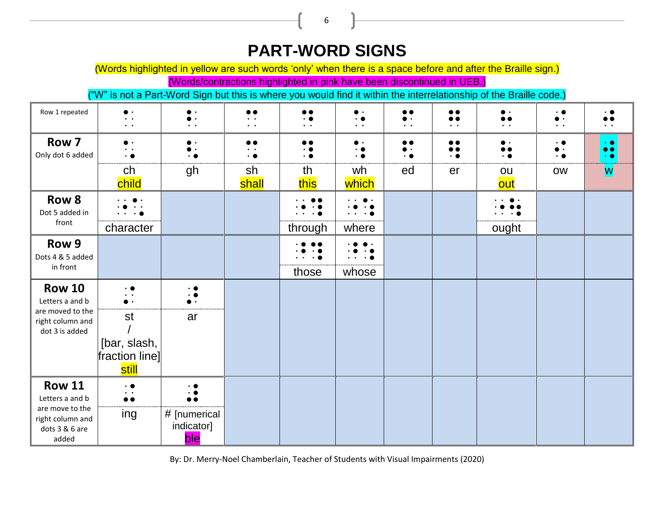## **PART-WORD SIGNS**

6

(Words highlighted in yellow are such words 'only' when there is a space before and after the Braille sign.)

(Words/contractions highlighted in pink have been discontinued in UEB.)

("W" is not a Part-Word Sign but this is where you would find it within the interrelationship of the Braille code.)

| Row 1 repeated                                                                                     | $\bullet$ .<br>$\bullet$ . $\bullet$<br>$\ddot{\phantom{a}}$ | $\bullet$ .<br>$\ddot{\phantom{0}}$   | $\bullet\bullet$<br>$\bullet$<br>$\ddot{\phantom{a}}$ | $\bullet$<br>$\cdot$ $\bullet$<br>$\bullet$ . $\bullet$ | . .<br>$\bullet$ . $\bullet$ | <br>$\bullet$ .<br>$\bullet$ . $\bullet$ | $\bullet\bullet$<br>$\bullet\bullet$<br>$\bullet$ . $\bullet$ | $\bullet$<br>$\bullet$ . $\bullet$                   | $\cdot\bullet$<br>$\bullet$ .<br>$\bullet$ . $\bullet$ | $\bullet$ . $\bullet$                                      |
|----------------------------------------------------------------------------------------------------|--------------------------------------------------------------|---------------------------------------|-------------------------------------------------------|---------------------------------------------------------|------------------------------|------------------------------------------|---------------------------------------------------------------|------------------------------------------------------|--------------------------------------------------------|------------------------------------------------------------|
| Row 7<br>Only dot 6 added                                                                          | $\bullet$ .<br>$\bullet$ . $\bullet$<br>$\cdot$ $\bullet$    | $\bullet$ .<br>$\cdot$ $\bullet$      | $\bullet$<br>$\bullet$<br>. .                         | $\bullet$<br>$\cdot$ $\bullet$<br>$\cdot$ $\bullet$     | $\bullet$                    | $\bullet\bullet$<br>$\bullet$ .<br>. .   | $\bullet\bullet$<br>$\bullet\bullet$<br>$\cdot$ $\bullet$     | $\bullet$ .<br>$\bullet\bullet$<br>$\cdot$ $\bullet$ | $\cdot$ .<br>. .                                       | $\cdot$ $\bullet$<br>$\bullet\bullet$<br>$\cdot$ $\bullet$ |
|                                                                                                    | ch<br>child                                                  | gh                                    | sh<br>shall                                           | th<br>this                                              | wh<br>which                  | ed                                       | er                                                            | ou<br>out                                            | <b>OW</b>                                              | W                                                          |
| Row 8<br>Dot 5 added in                                                                            |                                                              |                                       |                                                       |                                                         | $\cdot\bullet$               |                                          |                                                               |                                                      |                                                        |                                                            |
| front                                                                                              | character                                                    |                                       |                                                       | through                                                 | where                        |                                          |                                                               | ought                                                |                                                        |                                                            |
| Row 9<br>Dots 4 & 5 added                                                                          |                                                              |                                       |                                                       |                                                         |                              |                                          |                                                               |                                                      |                                                        |                                                            |
| in front                                                                                           |                                                              |                                       |                                                       | those                                                   | whose                        |                                          |                                                               |                                                      |                                                        |                                                            |
| <b>Row 10</b><br>Letters a and b                                                                   | $\cdot$ $\bullet$<br>$\bullet$ . $\bullet$<br>$\bullet$ .    | $\cdot \bullet$<br>$\cdot$ $\bullet$  |                                                       |                                                         |                              |                                          |                                                               |                                                      |                                                        |                                                            |
| are moved to the<br>right column and<br>dot 3 is added                                             | st                                                           | ar                                    |                                                       |                                                         |                              |                                          |                                                               |                                                      |                                                        |                                                            |
|                                                                                                    | [bar, slash,<br>fraction line]<br>still                      |                                       |                                                       |                                                         |                              |                                          |                                                               |                                                      |                                                        |                                                            |
| <b>Row 11</b><br>Letters a and b<br>are move to the<br>right column and<br>dots 3 & 6 are<br>added | $\cdot$ $\bullet$<br>$\bullet$ . $\bullet$<br>$\bullet$      | $\cdot$ $\bullet$<br>∙ ●<br>$\bullet$ |                                                       |                                                         |                              |                                          |                                                               |                                                      |                                                        |                                                            |
|                                                                                                    | ing                                                          | # [numerical<br>indicator]<br>ble     |                                                       |                                                         |                              |                                          |                                                               |                                                      |                                                        |                                                            |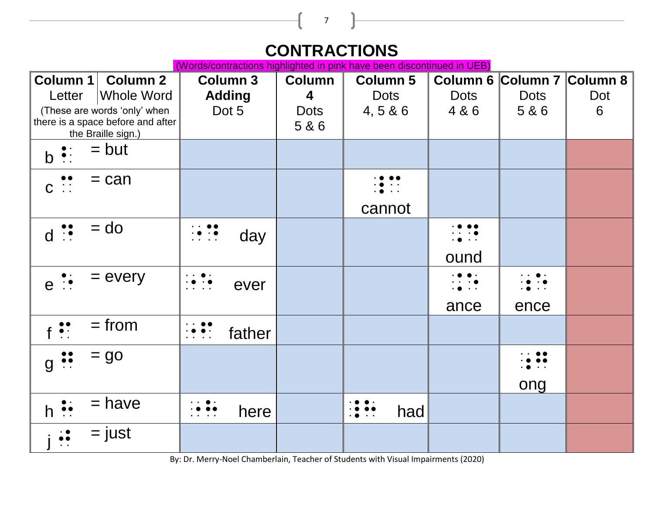## **CONTRACTIONS**

7

(Words/contractions highlighted in pink have been discontinued in UEB)

| Column 1<br><b>Column 2</b><br><b>Whole Word</b><br>Letter                                                           | <b>Column 3</b><br><b>Adding</b>                                                                                                         | <b>Column</b><br>$\overline{\mathbf{4}}$ | <b>Column 5</b><br><b>Dots</b> | <b>Dots</b>                           | Column 6 Column 7 Column 8<br><b>Dots</b> | Dot |
|----------------------------------------------------------------------------------------------------------------------|------------------------------------------------------------------------------------------------------------------------------------------|------------------------------------------|--------------------------------|---------------------------------------|-------------------------------------------|-----|
| (These are words 'only' when<br>there is a space before and after<br>the Braille sign.)                              | Dot 5                                                                                                                                    | <b>Dots</b><br>5&6                       | 4,5 & 6                        | 4 & 6                                 | 5&6                                       | 6   |
| $=$ but<br>$b \cdot$ :                                                                                               |                                                                                                                                          |                                          |                                |                                       |                                           |     |
| $=$ can<br>$\begin{array}{c} \bullet & \bullet \\ \bullet & \bullet \\ \bullet & \bullet \end{array}$<br>$\mathbf C$ |                                                                                                                                          |                                          |                                |                                       |                                           |     |
|                                                                                                                      |                                                                                                                                          |                                          | cannot                         |                                       |                                           |     |
| $=$ do<br>$d \n\ddot{?}$                                                                                             | $\begin{array}{c} \n\cdot & \bullet & \bullet \\ \cdot & \bullet & \cdot & \bullet \\ \cdot & \cdot & \cdot & \cdot\n\end{array}$<br>day |                                          |                                |                                       |                                           |     |
|                                                                                                                      |                                                                                                                                          |                                          |                                | ound                                  |                                           |     |
| $=$ every<br>$e$ :                                                                                                   | $\cdot \bullet \cdot \bullet$<br>ever<br>$\cdot$                                                                                         |                                          |                                | $\cdot\bullet$<br>$\bullet$ $\bullet$ | $\cdot$ $\bullet$<br>$\ddot{\phantom{1}}$ |     |
|                                                                                                                      |                                                                                                                                          |                                          |                                | ance                                  | ence                                      |     |
| $=$ from<br>$\ddot{\bullet}$ :                                                                                       | $\cdot \bullet \bullet \cdot$<br>father                                                                                                  |                                          |                                |                                       |                                           |     |
| $=$ go<br>$g \ddot{\bullet}$                                                                                         |                                                                                                                                          |                                          |                                |                                       |                                           |     |
|                                                                                                                      |                                                                                                                                          |                                          |                                |                                       | ong                                       |     |
| $=$ have<br>$h \vdots$                                                                                               | $\begin{array}{c} \bullet \bullet \bullet \bullet \\ \bullet \bullet \bullet \\ \bullet \end{array}$<br>here                             |                                          | had                            |                                       |                                           |     |
| = just<br>$\ddot{\bullet}$                                                                                           |                                                                                                                                          |                                          |                                |                                       |                                           |     |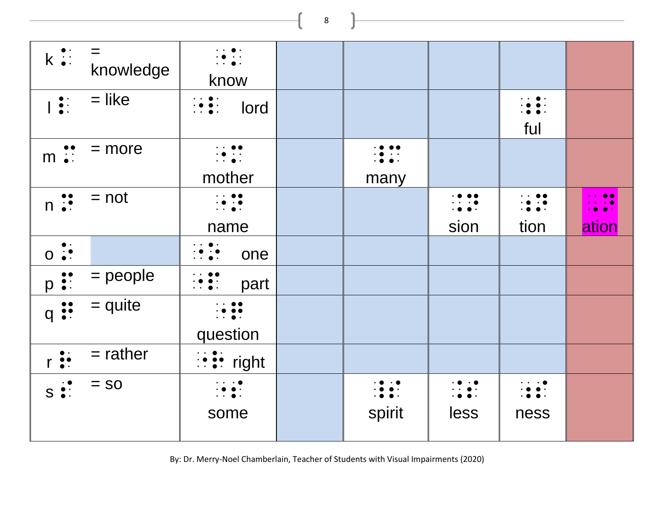| $k \ddot{a}$ :                                              | $=$<br>knowledge | $\cdot$ $\cdot$ $\bullet$ $\cdot$<br>$\dddot{\bullet}$ :<br>know                                                                                     |                         |                         |                                                                          |                             |
|-------------------------------------------------------------|------------------|------------------------------------------------------------------------------------------------------------------------------------------------------|-------------------------|-------------------------|--------------------------------------------------------------------------|-----------------------------|
| $\begin{array}{c} \bullet : \\ \bullet : \end{array}$       | $=$ like         | $\begin{array}{ccc}\n\cdot & \bullet & \bullet \\ \cdot & \bullet & \bullet \\ \cdot & \cdot & \bullet\n\end{array}$<br>lord                         |                         |                         | $\cdot$ . $\bullet$<br>ful                                               |                             |
| $m \ddot{\cdot}$                                            | $=$ more         | $\begin{array}{ccc}\n\cdot & \bullet & \bullet \\ \cdot & \bullet & \cdot \\ \cdot & \cdot & \bullet\n\end{array}$<br>mother                         | many                    |                         |                                                                          |                             |
| $n \ddot{•}$                                                | $= not$          | $\begin{array}{ccc}\n\cdot & \bullet & \bullet \\ \cdot & \bullet & \cdot \\ \cdot & \bullet & \cdot\n\end{array}$<br>name                           |                         | $\cdot$<br>sion         | $\cdot$ . $\bullet$ $\bullet$<br>$\frac{1}{2}$ . $\frac{1}{2}$ .<br>tion | $\cdot$ $\cdot$ 00<br>ation |
| $\bullet$ $\cdot$<br>$0 \cdot$                              |                  | $\cdot$ $\cdot$ $\bullet$ $\cdot$<br>$\cdot \bullet \cdot \bullet$<br>one                                                                            |                         |                         |                                                                          |                             |
| $p \nvert \nvert$                                           | $=$ people       | $\begin{array}{ccc}\n\cdot & \cdot & \bullet & \bullet \\ \cdot & \bullet & \bullet & \cdot \\ \cdot & \cdot & \bullet & \cdot\n\end{array}$<br>part |                         |                         |                                                                          |                             |
| $q \n\ddot{\bullet}$                                        | $=$ quite        | $\cdots$<br>$\cdot \bullet \bullet \bullet$<br>question                                                                                              |                         |                         |                                                                          |                             |
| $r \stackrel{\bullet}{\bullet} \stackrel{\bullet}{\bullet}$ | $=$ rather       | $\vdots$ : $\vdots$ right                                                                                                                            |                         |                         |                                                                          |                             |
| $S \overset{\cdot}{\bullet}$ :                              | $=$ SO           | $\cdots$ . $\bullet$<br>$\cdot$ $\bullet$ $\cdot$<br>$\cdot$ $\cdot$ $\bullet$ $\cdot$<br>some                                                       | $\frac{1}{2}$<br>spirit | $\frac{1}{100}$<br>less | $\cdot$ . $\bullet$ .<br>ness                                            |                             |

By: Dr. Merry-Noel Chamberlain, Teacher of Students with Visual Impairments (2020)

8

the control of the control of the control of the control of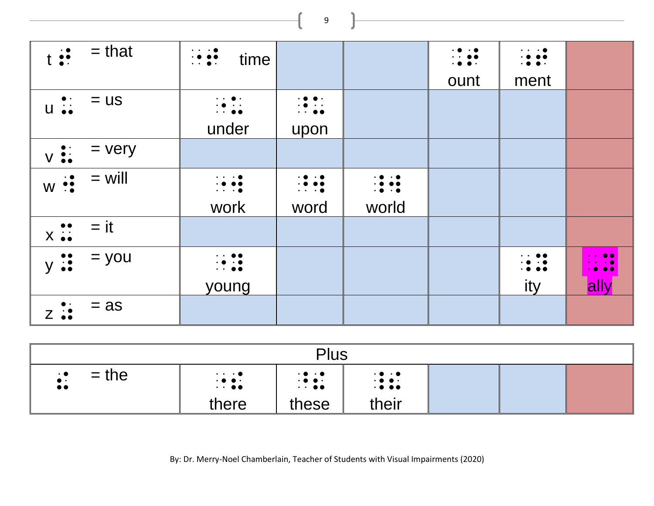<sup>t</sup> T = that "T time .t ount  $\cdot$  ;  $\cdot$  ;  $\bullet$  ; ment  $\begin{array}{ccc} \bullet: & = \mathsf{us} \\ \mathsf{u} \stackrel{\bullet}{\bullet} \bullet & \end{array}$  : under  $\begin{array}{c} \cdot \bullet \bullet \cdot \\ \cdot \bullet \quad \cdot \end{array}$ upon  $V \vdots = V \cdot V$  $w \div \div$  = will  $\Vert \cdot \Vert \cdot \cdot \cdot \cdot$ work  $\begin{array}{ccc}\n\cdot & \bullet & \cdot & \bullet \\
\cdot & \bullet & \bullet & \bullet \\
\cdot & \cdot & \cdot & \bullet\n\end{array}$ word  $\frac{1}{2}$  .  $\frac{1}{2}$ world  $x \vdots$  = it  $y :: = y$ ou  $\begin{array}{ccc} & & \vdots & \vdots \end{array}$ young  $\begin{array}{ccc} \cdot & \cdot & \bullet & \bullet \\ \cdot & \bullet & \cdot & \bullet \\ \cdot & \bullet & \bullet & \bullet \end{array}$ ity  $\frac{1}{2}$ ,  $\frac{9}{2}$ **ally**  $\sum$   $\vdots$  = as

| Plus                                      |                                                                  |                                                                                                                           |                           |  |  |  |  |  |  |
|-------------------------------------------|------------------------------------------------------------------|---------------------------------------------------------------------------------------------------------------------------|---------------------------|--|--|--|--|--|--|
| $=$ the<br>$\cdot$ 0<br>$\bullet \bullet$ | $\cdots$ . $\bullet$<br>$\frac{1}{2}$ : $\frac{1}{2}$ :<br>there | $\cdot$ 0 $\cdot$ 0<br>$\begin{array}{c} \bullet & \bullet & \bullet \\ \bullet & \bullet & \bullet \end{array}$<br>these | $\frac{1}{1000}$<br>their |  |  |  |  |  |  |

By: Dr. Merry-Noel Chamberlain, Teacher of Students with Visual Impairments (2020)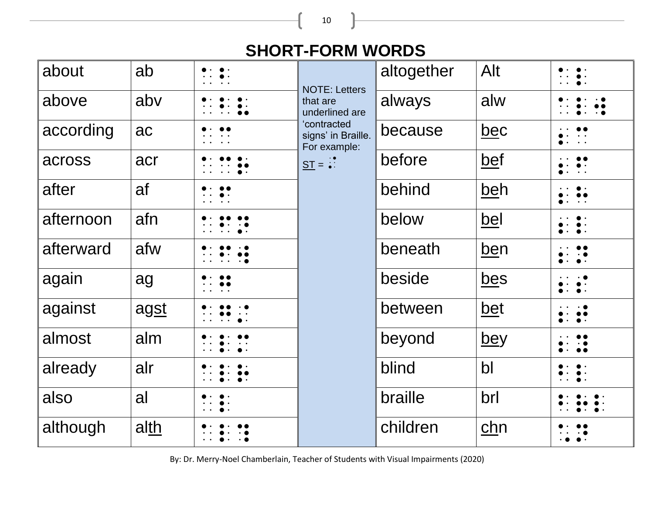**SHORT-FORM WORDS**

| about     | ab   | <b>NOTE: Letters</b>                              | altogether | Alt           |                     |
|-----------|------|---------------------------------------------------|------------|---------------|---------------------|
| above     | abv  | that are<br>underlined are                        | always     | alw           |                     |
| according | ac   | 'contracted<br>signs' in Braille.<br>For example: | because    | <u>bec</u>    |                     |
| across    | acr  | $ST =$ :                                          | before     | bef           | $\bullet$ $\bullet$ |
| after     | af   |                                                   | behind     | <u>beh</u>    |                     |
| afternoon | afn  |                                                   | below      | <u>bel</u>    |                     |
| afterward | afw  |                                                   | beneath    | ben           |                     |
| again     | ag   |                                                   | beside     | <u>bes</u>    |                     |
| against   | agst |                                                   | between    | <u>bet</u>    |                     |
| almost    | alm  |                                                   | beyond     | <u>bey</u>    | $\bullet$           |
| already   | alr  |                                                   | blind      | $\mathsf{bl}$ |                     |
| also      | al   |                                                   | braille    | brl           |                     |
| although  | alth |                                                   | children   | chn           |                     |

By: Dr. Merry-Noel Chamberlain, Teacher of Students with Visual Impairments (2020)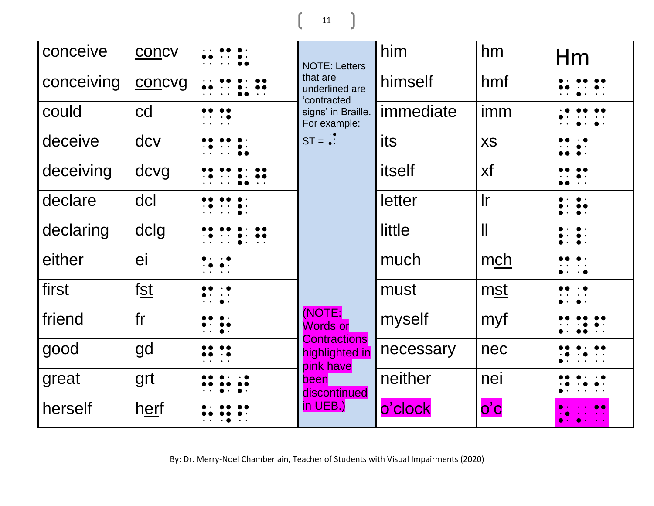11

ſ

| conceive   | concv       | <b>NOTE: Letters</b>                               | him       | hm                            | Hm |
|------------|-------------|----------------------------------------------------|-----------|-------------------------------|----|
| conceiving | concvg      | that are<br>underlined are<br>'contracted          | himself   | hmf                           |    |
| could      | cd          | signs' in Braille.<br>For example:                 | immediate | imm                           |    |
| deceive    | dcv         | $ST = \frac{1}{2}$                                 | its       | <b>XS</b>                     |    |
| deceiving  | dcvg        |                                                    | itself    | xf                            |    |
| declare    | dcl         |                                                    | letter    | $\mathsf{I}$ r                |    |
| declaring  | dclg        |                                                    | little    | $\mathbf{\mathsf{I}}$         |    |
| either     | ei          |                                                    | much      | mch                           |    |
| first      | fst         |                                                    | must      | mst                           |    |
| friend     | fr          | (NOTE:<br><b>Words or</b>                          | myself    | myf                           |    |
| good       | gd          | <b>Contractions</b><br>highlighted in<br>pink have | necessary | nec                           |    |
| great      | grt         | been<br>discontinued                               | neither   | nei                           |    |
| herself    | <u>herf</u> | $in$ UEB.)                                         | o'clock   | $\overline{O}$ $\overline{C}$ |    |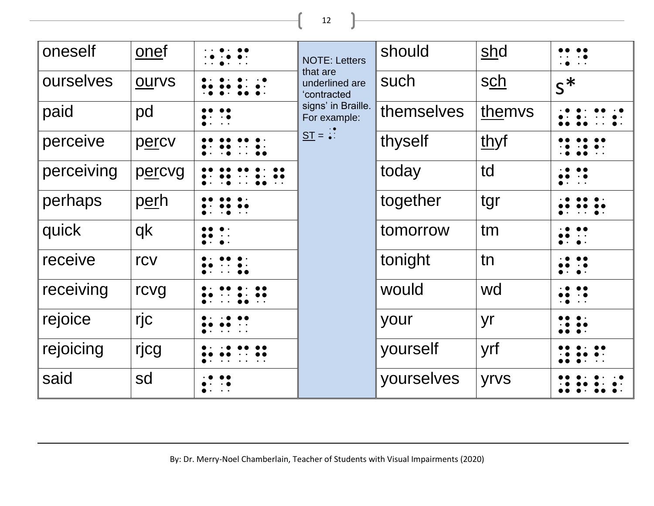12

<u> 1989 - Johann Barn, mars an t-Amerikaansk kommunister (</u>

| oneself    | onef         |                                                                      | <b>NOTE: Letters</b>                      | should     | shd        |                     |
|------------|--------------|----------------------------------------------------------------------|-------------------------------------------|------------|------------|---------------------|
| ourselves  | <b>OUIVS</b> |                                                                      | that are<br>underlined are<br>'contracted | such       | <u>sch</u> | $S^*$               |
| paid       | pd           | $\bullet$ . $\bullet$                                                | signs' in Braille.<br>For example:        | themselves | themvs     |                     |
| perceive   | percv        |                                                                      | $ST =$                                    | thyself    | thyf       |                     |
| perceiving | percvg       |                                                                      |                                           | today      | td         |                     |
| perhaps    | <u>perh</u>  |                                                                      |                                           | together   | tgr        |                     |
| quick      | qk           |                                                                      |                                           | tomorrow   | tm         |                     |
| receive    | rcv          |                                                                      |                                           | tonight    | tn         | $\bullet$ .         |
| receiving  | rcvg         |                                                                      |                                           | would      | wd         | $\bullet$ $\bullet$ |
| rejoice    | rjc          |                                                                      |                                           | your       | yr         |                     |
| rejoicing  | rjcg         |                                                                      |                                           | yourself   | yrf        |                     |
| said       | sd           | $\bullet\cdot\hspace{10pt}\cdot\hspace{10pt}\cdot\hspace{10pt}\cdot$ |                                           | yourselves | yrvs       |                     |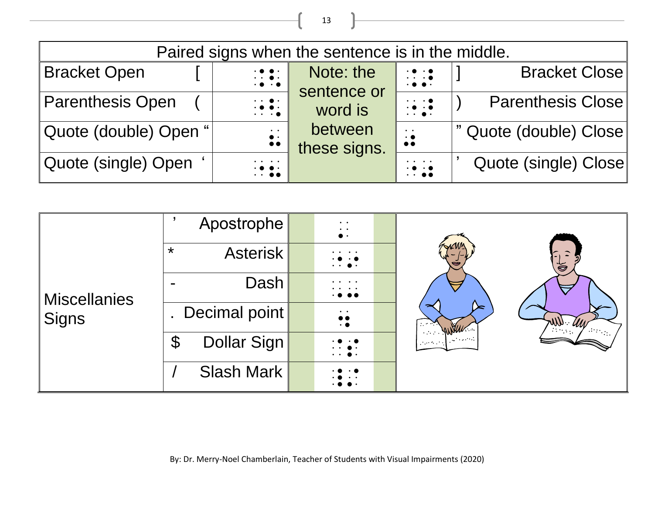| Paired signs when the sentence is in the middle. |                                                                                                                                    |                          |                                                                                                       |                          |  |  |  |  |  |
|--------------------------------------------------|------------------------------------------------------------------------------------------------------------------------------------|--------------------------|-------------------------------------------------------------------------------------------------------|--------------------------|--|--|--|--|--|
| <b>Bracket Open</b>                              | $\begin{array}{c} \cdot \bullet \bullet \cdot \\ \cdot \bullet \bullet \cdot \\ \cdot \bullet \end{array}$                         | Note: the<br>sentence or | $\cdot \cdot \cdot \cdot$<br>$\cdot$ $\bullet$ $\cdot$                                                | <b>Bracket Close</b>     |  |  |  |  |  |
| <b>Parenthesis Open</b>                          | $\begin{array}{ccc}\n\cdot & \bullet & \cdot \\ \cdot & \bullet & \bullet & \cdot \\ \cdot & \cdot & \cdot & \bullet\n\end{array}$ | word is                  | $\cdot \cdot \cdot \cdot \bullet$<br>$\cdot \bullet \cdot \bullet$<br>$\cdot$ $\cdot$ $\cdot$ $\cdot$ | <b>Parenthesis Close</b> |  |  |  |  |  |
| Quote (double) Open "                            | $\ddot{\bullet}$ :                                                                                                                 | between<br>these signs.  | $\bullet$ $\bullet$<br>$\cdot$ $\bullet$<br>$\bullet$                                                 | " Quote (double) Close   |  |  |  |  |  |
| Quote (single) Open                              | $\bullet$ , $\bullet$ , $\bullet$ , $\bullet$<br>$\frac{1}{2}$ .                                                                   |                          | $\cdots$<br>$\cdot$<br>$\cdot$                                                                        | Quote (single) Close     |  |  |  |  |  |

| <b>Miscellanies</b><br><b>Signs</b> | Apostrophe                            | $\bullet$ . $\bullet$<br>$\bullet$ $\bullet$<br>$\bullet\; \cdot$ |  | ≻<br>$1\leq i\leq n$<br>WWW<br>$\sim 10^{11}$ and $\sim 10^{11}$<br><b>Service</b> | $\overline{\overline{a}}$<br>7000<br>e dinegal v |
|-------------------------------------|---------------------------------------|-------------------------------------------------------------------|--|------------------------------------------------------------------------------------|--------------------------------------------------|
|                                     | $\star$<br><b>Asterisk</b>            | $\cdots$ .                                                        |  |                                                                                    |                                                  |
|                                     | Dash                                  | $\ddot{\phantom{1}}$<br>$\cdot$                                   |  |                                                                                    |                                                  |
|                                     | Decimal point                         | $\bullet$ .<br>$\bullet$<br>$\bullet\bullet$<br>$\cdot$ (         |  |                                                                                    |                                                  |
|                                     | Dollar Sign<br>$\boldsymbol{\varphi}$ | $\bullet$ .<br>$\ddot{\phantom{a}}$                               |  |                                                                                    |                                                  |
|                                     | Slash Mark                            |                                                                   |  |                                                                                    |                                                  |

13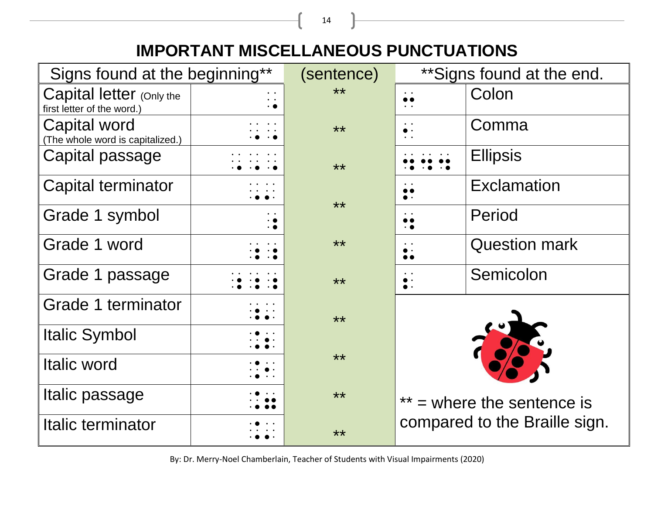## **IMPORTANT MISCELLANEOUS PUNCTUATIONS**

| Signs found at the beginning**                         | (sentence) | ** Signs found at the end. |                                    |                      |  |
|--------------------------------------------------------|------------|----------------------------|------------------------------------|----------------------|--|
| Capital letter (Only the<br>first letter of the word.) |            | $***$                      | $\bullet$ . $\bullet$<br>$\bullet$ | Colon                |  |
| Capital word<br>(The whole word is capitalized.)       |            | $***$                      | $\bullet$ $\bullet$<br>$\bullet$ . | Comma                |  |
| Capital passage                                        |            | $***$                      |                                    | <b>Ellipsis</b>      |  |
| <b>Capital terminator</b>                              |            | **                         |                                    | <b>Exclamation</b>   |  |
| Grade 1 symbol                                         |            |                            | $\bullet$<br>$\cdot$ $\bullet$     | Period               |  |
| Grade 1 word                                           |            | $***$                      | $\bullet$ $\bullet$                | <b>Question mark</b> |  |
| Grade 1 passage                                        |            | $***$                      |                                    | Semicolon            |  |
| Grade 1 terminator                                     |            | **                         |                                    |                      |  |
| <b>Italic Symbol</b>                                   |            |                            |                                    |                      |  |
| Italic word                                            |            | **                         |                                    |                      |  |
| Italic passage                                         |            | $***$                      | $=$ where the sentence is          |                      |  |
| Italic terminator                                      |            | $***$                      | compared to the Braille sign.      |                      |  |